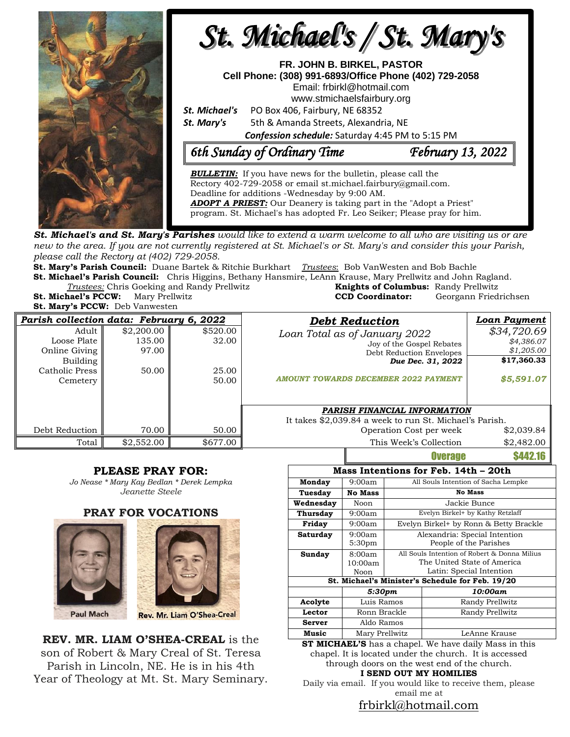

**St. Michael's and St. Mary's Parishes** would like to extend a warm welcome to all who are visiting us or are new to the area. If you are not currently registered at St. Michael's or St. Mary's and consider this your Parish, *please call the Rectory at (402) 729-2058.* 

**St. Mary's Parish Council:** Duane Bartek & Ritchie Burkhart *Trustees*: Bob VanWesten and Bob Bachle **St. Michael's Parish Council:** Chris Higgins, Bethany Hansmire, LeAnn Krause, Mary Prellwitz and John Ragland.

**Trustees:** Chris Goeking and Randy Prellwitz

**St. Mary's PCCW:** Deb Vanwesten

|                                           | <i>Trustees:</i> Chris Goeking and Randy Prellwitz | <b>Knights of Columbus:</b> Randy Prellwitz |                       |
|-------------------------------------------|----------------------------------------------------|---------------------------------------------|-----------------------|
| <b>St. Michael's PCCW:</b> Mary Prellwitz |                                                    | <b>CCD Coordinator:</b>                     | Georgann Friedrichsen |
| <b>St. Mary's PCCW:</b> Deb Vanwesten     |                                                    |                                             |                       |

| Parish collection data: February 6, 2022 |            |          | <b>Debt Reduction</b>                                   | <b>Loan Payment</b> |  |
|------------------------------------------|------------|----------|---------------------------------------------------------|---------------------|--|
| Adult                                    | \$2,200.00 | \$520.00 | Loan Total as of January 2022                           | \$34,720.69         |  |
| Loose Plate                              | 135.00     | 32.00    | Joy of the Gospel Rebates                               | \$4,386.07          |  |
| Online Giving                            | 97.00      |          | Debt Reduction Envelopes                                | \$1,205.00          |  |
| Building                                 |            |          | Due Dec. 31, 2022                                       | \$17,360.33         |  |
| Catholic Press                           | 50.00      | 25.00    |                                                         |                     |  |
| Cemetery                                 |            | 50.00    | AMOUNT TOWARDS DECEMBER 2022 PAYMENT                    | \$5,591.07          |  |
|                                          |            |          |                                                         |                     |  |
|                                          |            |          | PARISH FINANCIAL INFORMATION                            |                     |  |
|                                          |            |          | It takes \$2,039.84 a week to run St. Michael's Parish. |                     |  |
| Debt Reduction                           | 70.00      | 50.00    | Operation Cost per week                                 | \$2,039.84          |  |
| Total                                    | \$2,552.00 | \$677.00 | This Week's Collection                                  | \$2,482.00          |  |
|                                          |            |          | <b>Overage</b>                                          | \$442.16            |  |

### **PLEASE PRAY FOR:**

*Jo Nease \* Mary Kay Bedlan \* Derek Lempka Jeanette Steele*

### **PRAY FOR VOCATIONS**





**REV. MR. LIAM O'SHEA-CREAL** is the son of Robert & Mary Creal of St. Teresa Parish in Lincoln, NE. He is in his 4th Year of Theology at Mt. St. Mary Seminary.

| Mass Intentions for Feb. 14th – 20th             |                    |                                              |                                     |  |  |  |  |
|--------------------------------------------------|--------------------|----------------------------------------------|-------------------------------------|--|--|--|--|
| Monday                                           | 9:00am             |                                              | All Souls Intention of Sacha Lempke |  |  |  |  |
| Tuesday                                          | <b>No Mass</b>     | <b>No Mass</b>                               |                                     |  |  |  |  |
| Wednesday                                        | Noon               | Jackie Bunce                                 |                                     |  |  |  |  |
| <b>Thursday</b>                                  | 9:00am             | Evelyn Birkel+ by Kathy Retzlaff             |                                     |  |  |  |  |
| Friday                                           | 9:00am             | Evelyn Birkel+ by Ronn & Betty Brackle       |                                     |  |  |  |  |
| Saturday                                         | 9:00am             | Alexandria: Special Intention                |                                     |  |  |  |  |
|                                                  | 5:30 <sub>pm</sub> | People of the Parishes                       |                                     |  |  |  |  |
| Sunday                                           | 8:00am             | All Souls Intention of Robert & Donna Milius |                                     |  |  |  |  |
|                                                  | 10:00am            | The United State of America                  |                                     |  |  |  |  |
|                                                  | Noon               | Latin: Special Intention                     |                                     |  |  |  |  |
| St. Michael's Minister's Schedule for Feb. 19/20 |                    |                                              |                                     |  |  |  |  |
|                                                  | 5:30pm             |                                              | 10:00am                             |  |  |  |  |
| Acolyte                                          | Luis Ramos         |                                              | Randy Prellwitz                     |  |  |  |  |
| Lector                                           | Ronn Brackle       |                                              | Randy Prellwitz                     |  |  |  |  |
| <b>Server</b>                                    | Aldo Ramos         |                                              |                                     |  |  |  |  |
| Music                                            | Mary Prellwitz     |                                              | LeAnne Krause                       |  |  |  |  |

**ST MICHAEL'S** has a chapel. We have daily Mass in this chapel. It is located under the church. It is accessed through doors on the west end of the church.

**I SEND OUT MY HOMILIES**

Daily via email. If you would like to receive them, please email me at

[frbirkl@hotmail.com](mailto:frbirkl@hotmail.com)